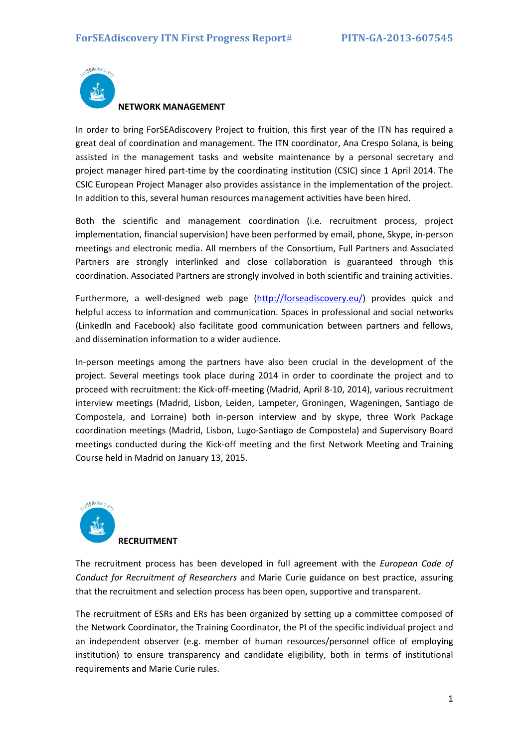

**NETWORK MANAGEMENT**

In order to bring ForSEAdiscovery Project to fruition, this first year of the ITN has required a great deal of coordination and management. The ITN coordinator, Ana Crespo Solana, is being assisted in the management tasks and website maintenance by a personal secretary and project manager hired part‐time by the coordinating institution (CSIC) since 1 April 2014. The CSIC European Project Manager also provides assistance in the implementation of the project. In addition to this, several human resources management activities have been hired.

Both the scientific and management coordination (i.e. recruitment process, project implementation, financial supervision) have been performed by email, phone, Skype, in‐person meetings and electronic media. All members of the Consortium, Full Partners and Associated Partners are strongly interlinked and close collaboration is guaranteed through this coordination. Associated Partners are strongly involved in both scientific and training activities.

Furthermore, a well‐designed web page (http://forseadiscovery.eu/) provides quick and helpful access to information and communication. Spaces in professional and social networks (Linkedln and Facebook) also facilitate good communication between partners and fellows, and dissemination information to a wider audience.

In‐person meetings among the partners have also been crucial in the development of the project. Several meetings took place during 2014 in order to coordinate the project and to proceed with recruitment: the Kick‐off‐meeting (Madrid, April 8‐10, 2014), various recruitment interview meetings (Madrid, Lisbon, Leiden, Lampeter, Groningen, Wageningen, Santiago de Compostela, and Lorraine) both in‐person interview and by skype, three Work Package coordination meetings (Madrid, Lisbon, Lugo‐Santiago de Compostela) and Supervisory Board meetings conducted during the Kick‐off meeting and the first Network Meeting and Training Course held in Madrid on January 13, 2015.



The recruitment process has been developed in full agreement with the *European Code of Conduct for Recruitment of Researchers* and Marie Curie guidance on best practice, assuring that the recruitment and selection process has been open, supportive and transparent.

The recruitment of ESRs and ERs has been organized by setting up a committee composed of the Network Coordinator, the Training Coordinator, the PI of the specific individual project and an independent observer (e.g. member of human resources/personnel office of employing institution) to ensure transparency and candidate eligibility, both in terms of institutional requirements and Marie Curie rules.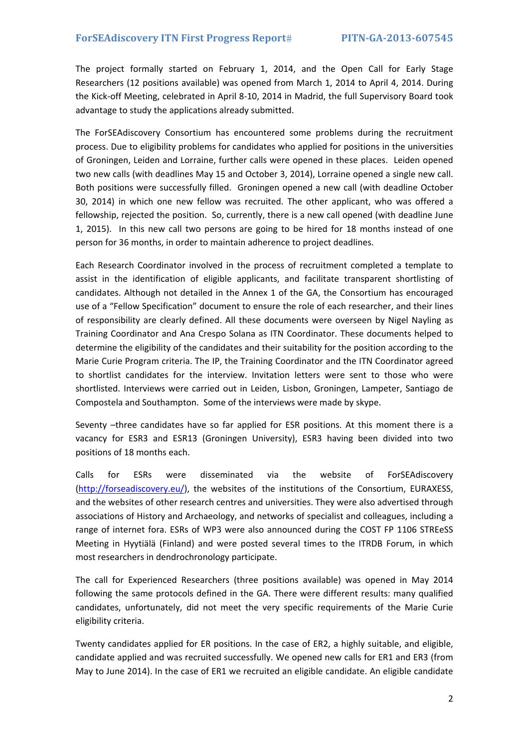The project formally started on February 1, 2014, and the Open Call for Early Stage Researchers (12 positions available) was opened from March 1, 2014 to April 4, 2014. During the Kick‐off Meeting, celebrated in April 8‐10, 2014 in Madrid, the full Supervisory Board took advantage to study the applications already submitted.

The ForSEAdiscovery Consortium has encountered some problems during the recruitment process. Due to eligibility problems for candidates who applied for positions in the universities of Groningen, Leiden and Lorraine, further calls were opened in these places. Leiden opened two new calls (with deadlines May 15 and October 3, 2014), Lorraine opened a single new call. Both positions were successfully filled. Groningen opened a new call (with deadline October 30, 2014) in which one new fellow was recruited. The other applicant, who was offered a fellowship, rejected the position. So, currently, there is a new call opened (with deadline June 1, 2015). In this new call two persons are going to be hired for 18 months instead of one person for 36 months, in order to maintain adherence to project deadlines.

Each Research Coordinator involved in the process of recruitment completed a template to assist in the identification of eligible applicants, and facilitate transparent shortlisting of candidates. Although not detailed in the Annex 1 of the GA, the Consortium has encouraged use of a "Fellow Specification" document to ensure the role of each researcher, and their lines of responsibility are clearly defined. All these documents were overseen by Nigel Nayling as Training Coordinator and Ana Crespo Solana as ITN Coordinator. These documents helped to determine the eligibility of the candidates and their suitability for the position according to the Marie Curie Program criteria. The IP, the Training Coordinator and the ITN Coordinator agreed to shortlist candidates for the interview. Invitation letters were sent to those who were shortlisted. Interviews were carried out in Leiden, Lisbon, Groningen, Lampeter, Santiago de Compostela and Southampton. Some of the interviews were made by skype.

Seventy –three candidates have so far applied for ESR positions. At this moment there is a vacancy for ESR3 and ESR13 (Groningen University), ESR3 having been divided into two positions of 18 months each.

Calls for ESRs were disseminated via the website of ForSEAdiscovery (http://forseadiscovery.eu/), the websites of the institutions of the Consortium, EURAXESS, and the websites of other research centres and universities. They were also advertised through associations of History and Archaeology, and networks of specialist and colleagues, including a range of internet fora. ESRs of WP3 were also announced during the COST FP 1106 STREeSS Meeting in Hyytiälä (Finland) and were posted several times to the ITRDB Forum, in which most researchers in dendrochronology participate.

The call for Experienced Researchers (three positions available) was opened in May 2014 following the same protocols defined in the GA. There were different results: many qualified candidates, unfortunately, did not meet the very specific requirements of the Marie Curie eligibility criteria.

Twenty candidates applied for ER positions. In the case of ER2, a highly suitable, and eligible, candidate applied and was recruited successfully. We opened new calls for ER1 and ER3 (from May to June 2014). In the case of ER1 we recruited an eligible candidate. An eligible candidate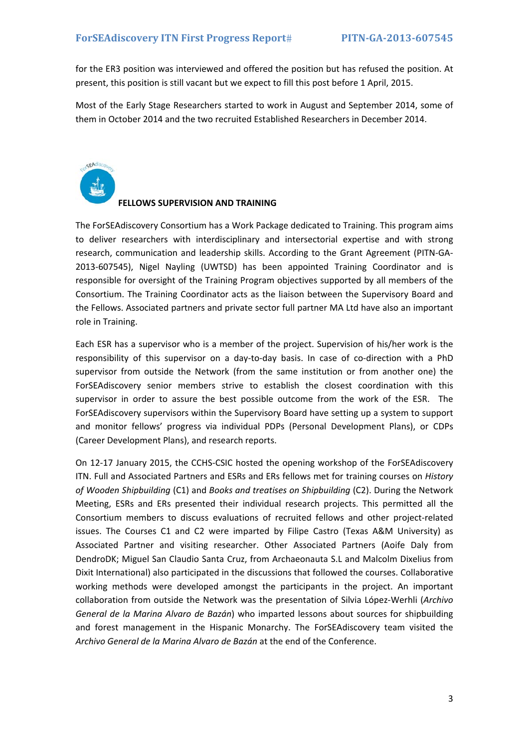for the ER3 position was interviewed and offered the position but has refused the position. At present, this position is still vacant but we expect to fill this post before 1 April, 2015.

Most of the Early Stage Researchers started to work in August and September 2014, some of them in October 2014 and the two recruited Established Researchers in December 2014.

**CEAdisco** 

### **FELLOWS SUPERVISION AND TRAINING**

The ForSEAdiscovery Consortium has a Work Package dedicated to Training. This program aims to deliver researchers with interdisciplinary and intersectorial expertise and with strong research, communication and leadership skills. According to the Grant Agreement (PITN‐GA‐ 2013‐607545), Nigel Nayling (UWTSD) has been appointed Training Coordinator and is responsible for oversight of the Training Program objectives supported by all members of the Consortium. The Training Coordinator acts as the liaison between the Supervisory Board and the Fellows. Associated partners and private sector full partner MA Ltd have also an important role in Training.

Each ESR has a supervisor who is a member of the project. Supervision of his/her work is the responsibility of this supervisor on a day-to-day basis. In case of co-direction with a PhD supervisor from outside the Network (from the same institution or from another one) the ForSEAdiscovery senior members strive to establish the closest coordination with this supervisor in order to assure the best possible outcome from the work of the ESR. The ForSEAdiscovery supervisors within the Supervisory Board have setting up a system to support and monitor fellows' progress via individual PDPs (Personal Development Plans), or CDPs (Career Development Plans), and research reports.

On 12‐17 January 2015, the CCHS‐CSIC hosted the opening workshop of the ForSEAdiscovery ITN. Full and Associated Partners and ESRs and ERs fellows met for training courses on *History of Wooden Shipbuilding* (C1) and *Books and treatises on Shipbuilding* (C2). During the Network Meeting, ESRs and ERs presented their individual research projects. This permitted all the Consortium members to discuss evaluations of recruited fellows and other project‐related issues. The Courses C1 and C2 were imparted by Filipe Castro (Texas A&M University) as Associated Partner and visiting researcher. Other Associated Partners (Aoife Daly from DendroDK; Miguel San Claudio Santa Cruz, from Archaeonauta S.L and Malcolm Dixelius from Dixit International) also participated in the discussions that followed the courses. Collaborative working methods were developed amongst the participants in the project. An important collaboration from outside the Network was the presentation of Silvia López‐Werhli (*Archivo General de la Marina Alvaro de Bazán*) who imparted lessons about sources for shipbuilding and forest management in the Hispanic Monarchy. The ForSEAdiscovery team visited the *Archivo General de la Marina Alvaro de Bazán* at the end of the Conference.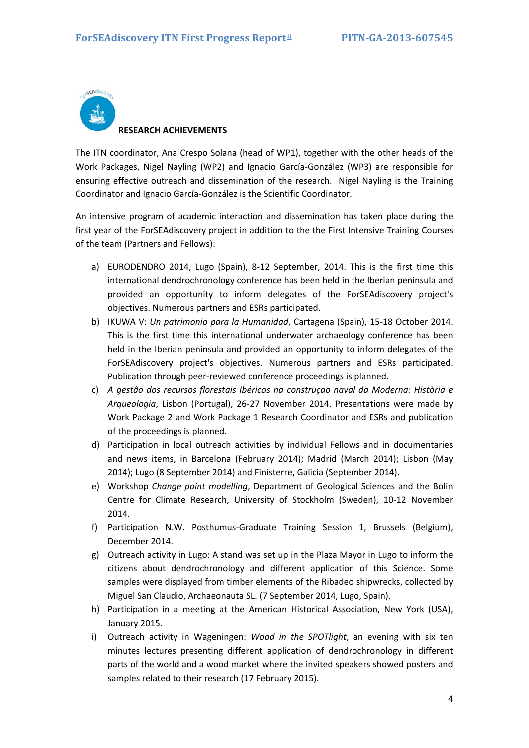

## **RESEARCH ACHIEVEMENTS**

The ITN coordinator, Ana Crespo Solana (head of WP1), together with the other heads of the Work Packages, Nigel Nayling (WP2) and Ignacio García‐González (WP3) are responsible for ensuring effective outreach and dissemination of the research. Nigel Nayling is the Training Coordinator and Ignacio García‐González is the Scientific Coordinator.

An intensive program of academic interaction and dissemination has taken place during the first year of the ForSEAdiscovery project in addition to the the First Intensive Training Courses of the team (Partners and Fellows):

- a) EURODENDRO 2014, Lugo (Spain), 8‐12 September, 2014. This is the first time this international dendrochronology conference has been held in the Iberian peninsula and provided an opportunity to inform delegates of the ForSEAdiscovery project's objectives. Numerous partners and ESRs participated.
- b) IKUWA V: *Un patrimonio para la Humanidad*, Cartagena (Spain), 15‐18 October 2014. This is the first time this international underwater archaeology conference has been held in the Iberian peninsula and provided an opportunity to inform delegates of the ForSEAdiscovery project's objectives. Numerous partners and ESRs participated. Publication through peer‐reviewed conference proceedings is planned.
- c) *A gestâo dos recursos florestais Ibéricos na construçao naval da Moderna: Història e Arqueologia*, Lisbon (Portugal), 26‐27 November 2014. Presentations were made by Work Package 2 and Work Package 1 Research Coordinator and ESRs and publication of the proceedings is planned.
- d) Participation in local outreach activities by individual Fellows and in documentaries and news items, in Barcelona (February 2014); Madrid (March 2014); Lisbon (May 2014); Lugo (8 September 2014) and Finisterre, Galicia (September 2014).
- e) Workshop *Change point modelling*, Department of Geological Sciences and the Bolin Centre for Climate Research, University of Stockholm (Sweden), 10‐12 November 2014.
- f) Participation N.W. Posthumus‐Graduate Training Session 1, Brussels (Belgium), December 2014.
- g) Outreach activity in Lugo: A stand was set up in the Plaza Mayor in Lugo to inform the citizens about dendrochronology and different application of this Science. Some samples were displayed from timber elements of the Ribadeo shipwrecks, collected by Miguel San Claudio, Archaeonauta SL. (7 September 2014, Lugo, Spain).
- h) Participation in a meeting at the American Historical Association, New York (USA), January 2015.
- i) Outreach activity in Wageningen: *Wood in the SPOTlight*, an evening with six ten minutes lectures presenting different application of dendrochronology in different parts of the world and a wood market where the invited speakers showed posters and samples related to their research (17 February 2015).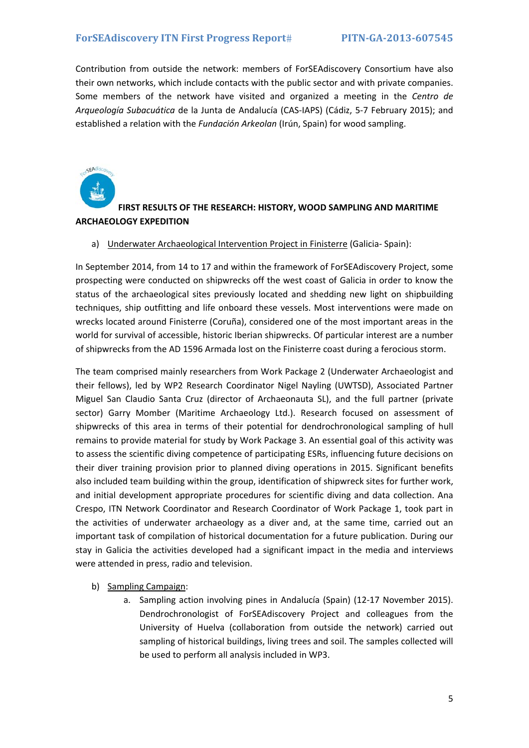Contribution from outside the network: members of ForSEAdiscovery Consortium have also their own networks, which include contacts with the public sector and with private companies. Some members of the network have visited and organized a meeting in the *Centro de Arqueología Subacuática* de la Junta de Andalucía (CAS‐IAPS) (Cádiz, 5‐7 February 2015); and established a relation with the *Fundación Arkeolan* (Irún, Spain) for wood sampling.



### **FIRST RESULTS OF THE RESEARCH: HISTORY, WOOD SAMPLING AND MARITIME ARCHAEOLOGY EXPEDITION**

#### a) Underwater Archaeological Intervention Project in Finisterre (Galicia‐ Spain):

In September 2014, from 14 to 17 and within the framework of ForSEAdiscovery Project, some prospecting were conducted on shipwrecks off the west coast of Galicia in order to know the status of the archaeological sites previously located and shedding new light on shipbuilding techniques, ship outfitting and life onboard these vessels. Most interventions were made on wrecks located around Finisterre (Coruña), considered one of the most important areas in the world for survival of accessible, historic Iberian shipwrecks. Of particular interest are a number of shipwrecks from the AD 1596 Armada lost on the Finisterre coast during a ferocious storm.

The team comprised mainly researchers from Work Package 2 (Underwater Archaeologist and their fellows), led by WP2 Research Coordinator Nigel Nayling (UWTSD), Associated Partner Miguel San Claudio Santa Cruz (director of Archaeonauta SL), and the full partner (private sector) Garry Momber (Maritime Archaeology Ltd.). Research focused on assessment of shipwrecks of this area in terms of their potential for dendrochronological sampling of hull remains to provide material for study by Work Package 3. An essential goal of this activity was to assess the scientific diving competence of participating ESRs, influencing future decisions on their diver training provision prior to planned diving operations in 2015. Significant benefits also included team building within the group, identification of shipwreck sites for further work, and initial development appropriate procedures for scientific diving and data collection. Ana Crespo, ITN Network Coordinator and Research Coordinator of Work Package 1, took part in the activities of underwater archaeology as a diver and, at the same time, carried out an important task of compilation of historical documentation for a future publication. During our stay in Galicia the activities developed had a significant impact in the media and interviews were attended in press, radio and television.

#### b) Sampling Campaign:

a. Sampling action involving pines in Andalucía (Spain) (12‐17 November 2015). Dendrochronologist of ForSEAdiscovery Project and colleagues from the University of Huelva (collaboration from outside the network) carried out sampling of historical buildings, living trees and soil. The samples collected will be used to perform all analysis included in WP3.